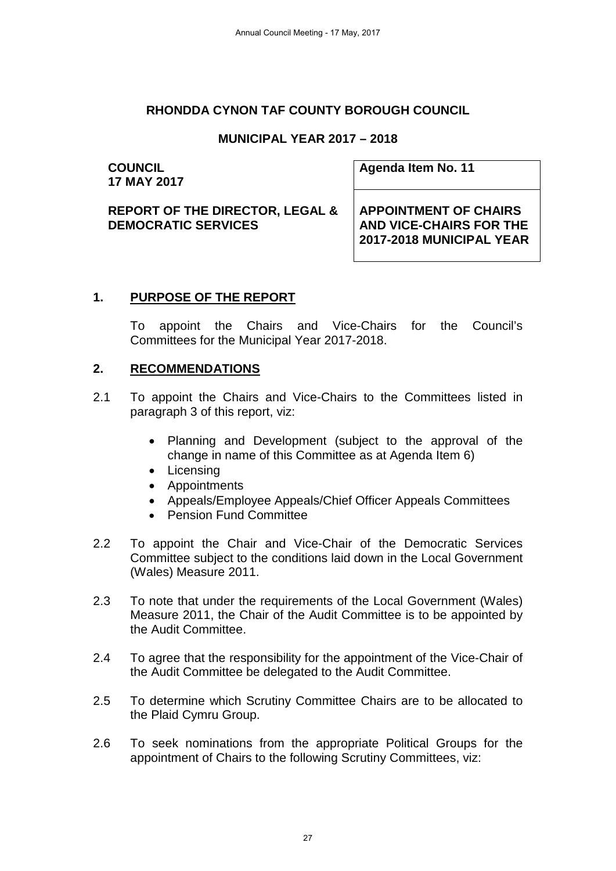### **RHONDDA CYNON TAF COUNTY BOROUGH COUNCIL**

## **MUNICIPAL YEAR 2017 – 2018**

#### **COUNCIL 17 MAY 2017**

**Agenda Item No. 11**

**REPORT OF THE DIRECTOR, LEGAL & DEMOCRATIC SERVICES**

**APPOINTMENT OF CHAIRS AND VICE-CHAIRS FOR THE 2017-2018 MUNICIPAL YEAR** 

### **1. PURPOSE OF THE REPORT**

To appoint the Chairs and Vice-Chairs for the Council's Committees for the Municipal Year 2017-2018.

## **2. RECOMMENDATIONS**

- 2.1 To appoint the Chairs and Vice-Chairs to the Committees listed in paragraph 3 of this report, viz:
	- Planning and Development (subject to the approval of the change in name of this Committee as at Agenda Item 6)
	- Licensing
	- Appointments
	- Appeals/Employee Appeals/Chief Officer Appeals Committees
	- Pension Fund Committee
- 2.2 To appoint the Chair and Vice-Chair of the Democratic Services Committee subject to the conditions laid down in the Local Government (Wales) Measure 2011.
- 2.3 To note that under the requirements of the Local Government (Wales) Measure 2011, the Chair of the Audit Committee is to be appointed by the Audit Committee.
- 2.4 To agree that the responsibility for the appointment of the Vice-Chair of the Audit Committee be delegated to the Audit Committee.
- 2.5 To determine which Scrutiny Committee Chairs are to be allocated to the Plaid Cymru Group.
- 2.6 To seek nominations from the appropriate Political Groups for the appointment of Chairs to the following Scrutiny Committees, viz: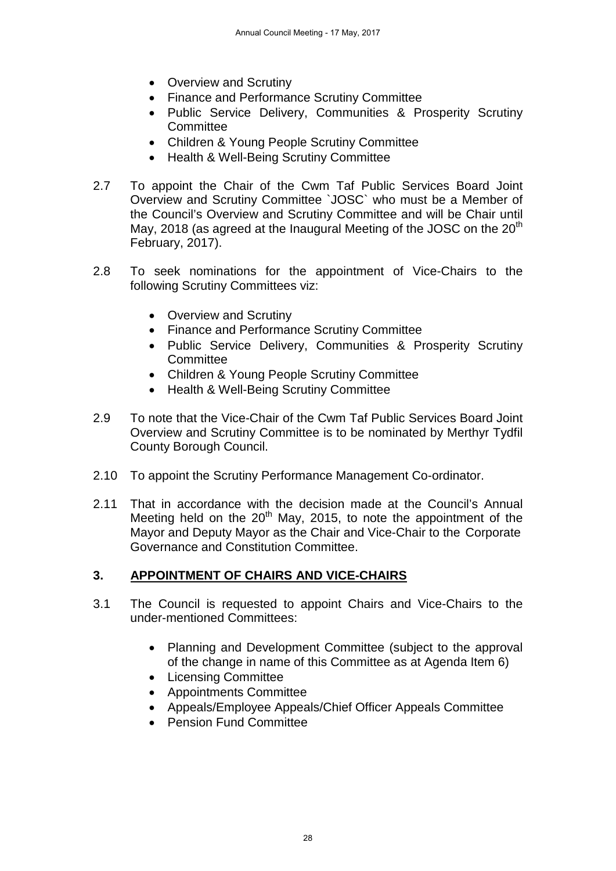- Overview and Scrutiny
- Finance and Performance Scrutiny Committee
- Public Service Delivery, Communities & Prosperity Scrutiny **Committee**
- Children & Young People Scrutiny Committee
- Health & Well-Being Scrutiny Committee
- 2.7 To appoint the Chair of the Cwm Taf Public Services Board Joint Overview and Scrutiny Committee `JOSC` who must be a Member of the Council's Overview and Scrutiny Committee and will be Chair until May, 2018 (as agreed at the Inaugural Meeting of the JOSC on the  $20<sup>th</sup>$ February, 2017).
- 2.8 To seek nominations for the appointment of Vice-Chairs to the following Scrutiny Committees viz:
	- Overview and Scrutiny
	- Finance and Performance Scrutiny Committee
	- Public Service Delivery, Communities & Prosperity Scrutiny **Committee**
	- Children & Young People Scrutiny Committee
	- Health & Well-Being Scrutiny Committee
- 2.9 To note that the Vice-Chair of the Cwm Taf Public Services Board Joint Overview and Scrutiny Committee is to be nominated by Merthyr Tydfil County Borough Council.
- 2.10 To appoint the Scrutiny Performance Management Co-ordinator.
- 2.11 That in accordance with the decision made at the Council's Annual Meeting held on the  $20<sup>th</sup>$  May, 2015, to note the appointment of the Mayor and Deputy Mayor as the Chair and Vice-Chair to the Corporate Governance and Constitution Committee.

## **3. APPOINTMENT OF CHAIRS AND VICE-CHAIRS**

- 3.1 The Council is requested to appoint Chairs and Vice-Chairs to the under-mentioned Committees:
	- Planning and Development Committee (subject to the approval of the change in name of this Committee as at Agenda Item 6)
	- Licensing Committee
	- Appointments Committee
	- Appeals/Employee Appeals/Chief Officer Appeals Committee
	- Pension Fund Committee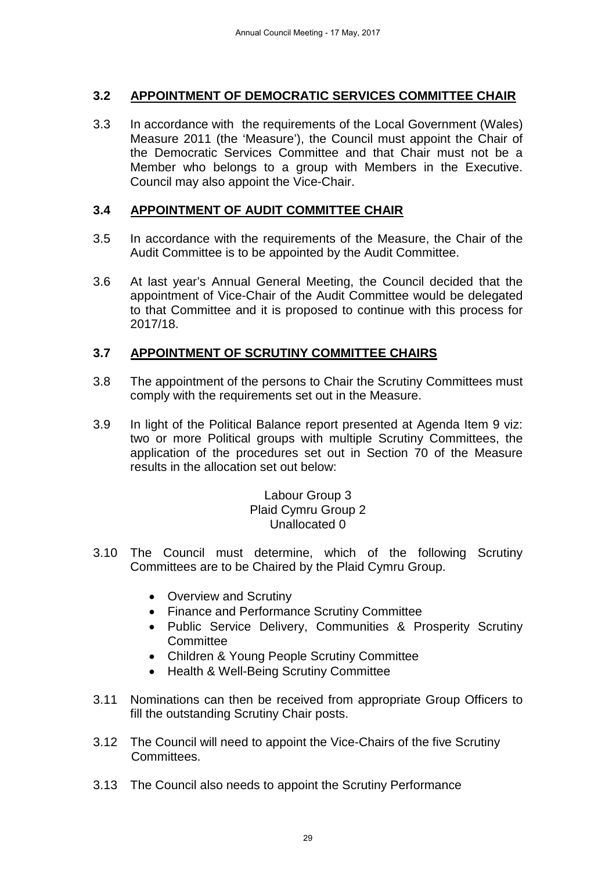## **3.2 APPOINTMENT OF DEMOCRATIC SERVICES COMMITTEE CHAIR**

3.3 In accordance with the requirements of the Local Government (Wales) Measure 2011 (the 'Measure'), the Council must appoint the Chair of the Democratic Services Committee and that Chair must not be a Member who belongs to a group with Members in the Executive. Council may also appoint the Vice-Chair.

## **3.4 APPOINTMENT OF AUDIT COMMITTEE CHAIR**

- 3.5 In accordance with the requirements of the Measure, the Chair of the Audit Committee is to be appointed by the Audit Committee.
- 3.6 At last year's Annual General Meeting, the Council decided that the appointment of Vice-Chair of the Audit Committee would be delegated to that Committee and it is proposed to continue with this process for 2017/18.

## **3.7 APPOINTMENT OF SCRUTINY COMMITTEE CHAIRS**

- 3.8 The appointment of the persons to Chair the Scrutiny Committees must comply with the requirements set out in the Measure.
- 3.9 In light of the Political Balance report presented at Agenda Item 9 viz: two or more Political groups with multiple Scrutiny Committees, the application of the procedures set out in Section 70 of the Measure results in the allocation set out below:

#### Labour Group 3 Plaid Cymru Group 2 Unallocated 0

- 3.10 The Council must determine, which of the following Scrutiny Committees are to be Chaired by the Plaid Cymru Group.
	- Overview and Scrutiny
	- Finance and Performance Scrutiny Committee
	- Public Service Delivery, Communities & Prosperity Scrutiny **Committee**
	- Children & Young People Scrutiny Committee
	- Health & Well-Being Scrutiny Committee
- 3.11 Nominations can then be received from appropriate Group Officers to fill the outstanding Scrutiny Chair posts.
- 3.12 The Council will need to appoint the Vice-Chairs of the five Scrutiny Committees.
- 3.13 The Council also needs to appoint the Scrutiny Performance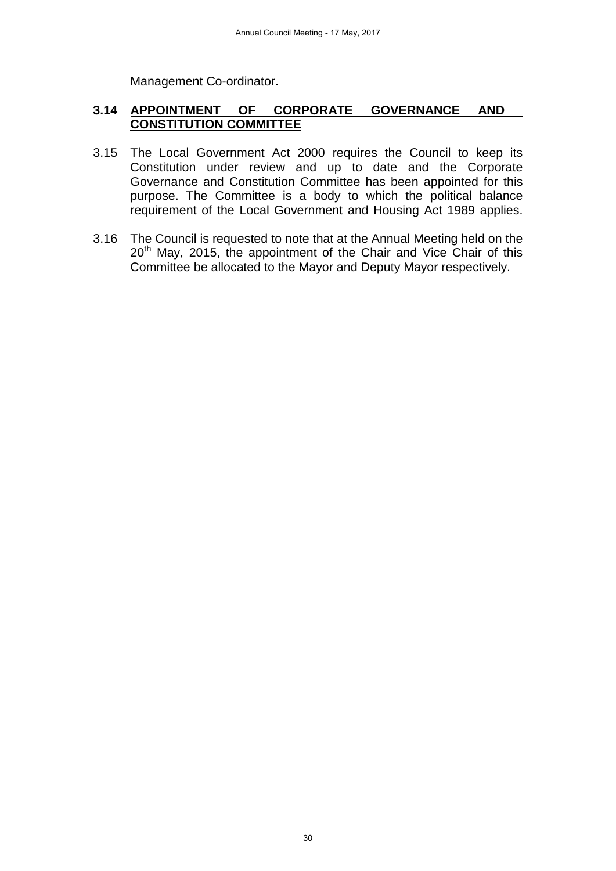Management Co-ordinator.

### **3.14 APPOINTMENT OF CORPORATE GOVERNANCE AND CONSTITUTION COMMITTEE**

- 3.15 The Local Government Act 2000 requires the Council to keep its Constitution under review and up to date and the Corporate Governance and Constitution Committee has been appointed for this purpose. The Committee is a body to which the political balance requirement of the Local Government and Housing Act 1989 applies.
- 3.16 The Council is requested to note that at the Annual Meeting held on the 20<sup>th</sup> May, 2015, the appointment of the Chair and Vice Chair of this Committee be allocated to the Mayor and Deputy Mayor respectively.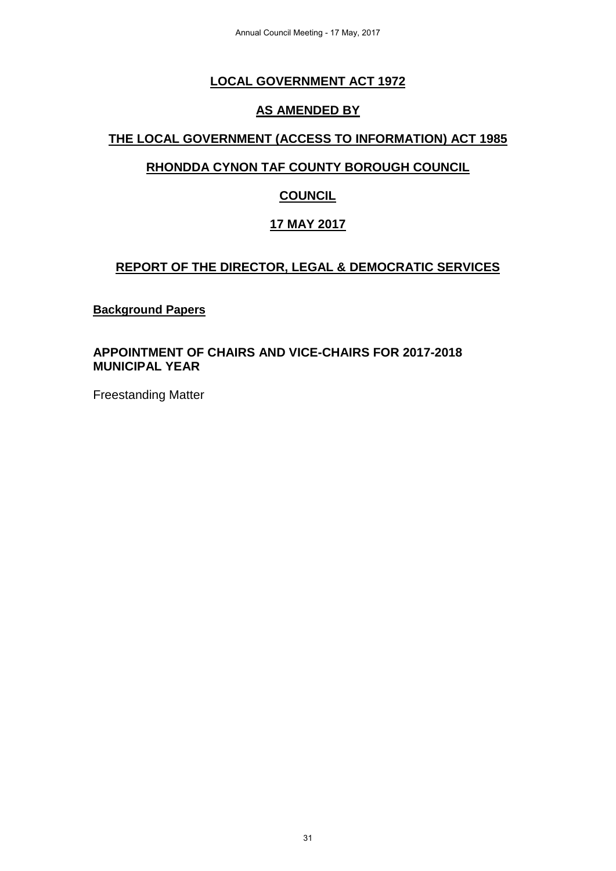# **LOCAL GOVERNMENT ACT 1972**

## **AS AMENDED BY**

## **THE LOCAL GOVERNMENT (ACCESS TO INFORMATION) ACT 1985**

## **RHONDDA CYNON TAF COUNTY BOROUGH COUNCIL**

# **COUNCIL**

# **17 MAY 2017**

## **REPORT OF THE DIRECTOR, LEGAL & DEMOCRATIC SERVICES**

#### **Background Papers**

### **APPOINTMENT OF CHAIRS AND VICE-CHAIRS FOR 2017-2018 MUNICIPAL YEAR**

Freestanding Matter